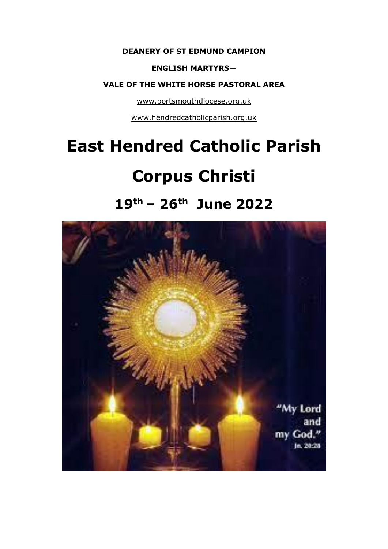#### **DEANERY OF ST EDMUND CAMPION**

#### **ENGLISH MARTYRS—**

#### **VALE OF THE WHITE HORSE PASTORAL AREA**

www.portsmouthdiocese.org.uk

www.hendredcatholicparish.org.uk

# **East Hendred Catholic Parish**

# **Corpus Christi**

## **19th – 26th June 2022**

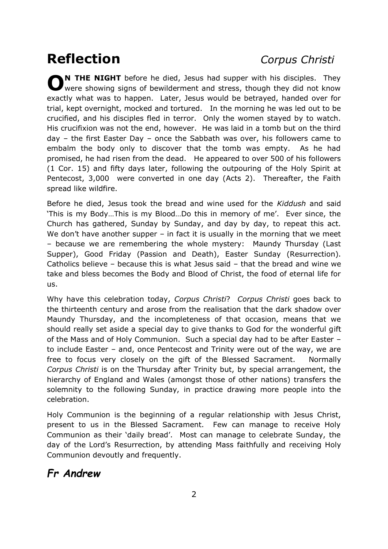## **Reflection** *Corpus Christi*

**O**<sup>N</sup> THE NIGHT before he died, Jesus had supper with his disciples. They were showing signs of bewilderment and stress, though they did not know were showing signs of bewilderment and stress, though they did not know exactly what was to happen. Later, Jesus would be betrayed, handed over for trial, kept overnight, mocked and tortured. In the morning he was led out to be crucified, and his disciples fled in terror. Only the women stayed by to watch. His crucifixion was not the end, however. He was laid in a tomb but on the third day – the first Easter Day – once the Sabbath was over, his followers came to embalm the body only to discover that the tomb was empty. As he had promised, he had risen from the dead. He appeared to over 500 of his followers (1 Cor. 15) and fifty days later, following the outpouring of the Holy Spirit at Pentecost, 3,000 were converted in one day (Acts 2). Thereafter, the Faith spread like wildfire.

Before he died, Jesus took the bread and wine used for the *Kiddush* and said 'This is my Body…This is my Blood…Do this in memory of me'. Ever since, the Church has gathered, Sunday by Sunday, and day by day, to repeat this act. We don't have another supper – in fact it is usually in the morning that we meet – because we are remembering the whole mystery: Maundy Thursday (Last Supper), Good Friday (Passion and Death), Easter Sunday (Resurrection). Catholics believe – because this is what Jesus said – that the bread and wine we take and bless becomes the Body and Blood of Christ, the food of eternal life for us.

Why have this celebration today, *Corpus Christi*? *Corpus Christi* goes back to the thirteenth century and arose from the realisation that the dark shadow over Maundy Thursday, and the incompleteness of that occasion, means that we should really set aside a special day to give thanks to God for the wonderful gift of the Mass and of Holy Communion. Such a special day had to be after Easter – to include Easter – and, once Pentecost and Trinity were out of the way, we are free to focus very closely on the gift of the Blessed Sacrament. Normally *Corpus Christi* is on the Thursday after Trinity but, by special arrangement, the hierarchy of England and Wales (amongst those of other nations) transfers the solemnity to the following Sunday, in practice drawing more people into the celebration.

Holy Communion is the beginning of a regular relationship with Jesus Christ, present to us in the Blessed Sacrament. Few can manage to receive Holy Communion as their 'daily bread'. Most can manage to celebrate Sunday, the day of the Lord's Resurrection, by attending Mass faithfully and receiving Holy Communion devoutly and frequently.

## *Fr Andrew*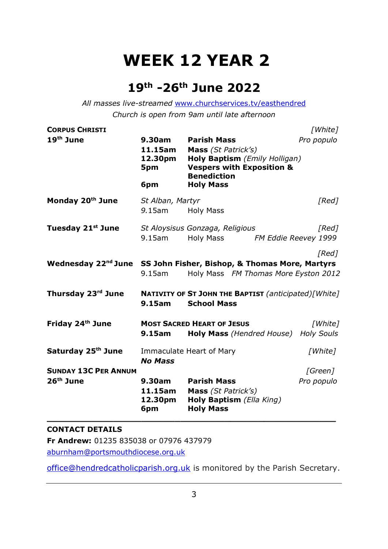# **WEEK 12 YEAR 2**

## **19th -26th June 2022**

*All masses live-streamed* www.churchservices.tv/easthendred *Church is open from 9am until late afternoon*

| <b>CORPUS CHRISTI</b>                                                          |                                            |                                                                                                                                                                     | [White]    |
|--------------------------------------------------------------------------------|--------------------------------------------|---------------------------------------------------------------------------------------------------------------------------------------------------------------------|------------|
| 19th June                                                                      | 9.30am<br>11.15am<br>12.30pm<br>5pm<br>6pm | <b>Parish Mass</b><br>Mass (St Patrick's)<br><b>Holy Baptism</b> (Emily Holligan)<br><b>Vespers with Exposition &amp;</b><br><b>Benediction</b><br><b>Holy Mass</b> | Pro populo |
| Monday 20 <sup>th</sup> June                                                   | St Alban, Martyr<br>$9.15$ am              | <b>Holy Mass</b>                                                                                                                                                    | [Red]      |
| Tuesday 21st June                                                              | 9.15am                                     | St Aloysisus Gonzaga, Religious<br>Holy Mass FM Eddie Reevey 1999                                                                                                   | [Red]      |
| Wednesday 22 <sup>nd</sup> June SS John Fisher, Bishop, & Thomas More, Martyrs | $9.15$ am                                  | Holy Mass FM Thomas More Eyston 2012                                                                                                                                | [Red]      |
| Thursday 23rd June                                                             | 9.15am                                     | <b>NATIVITY OF ST JOHN THE BAPTIST</b> (anticipated)[White]<br><b>School Mass</b>                                                                                   |            |
| Friday 24th June                                                               | 9.15am                                     | <b>MOST SACRED HEART OF JESUS</b><br><b>Holy Mass</b> (Hendred House) Holy Souls                                                                                    | [White]    |
| Saturday 25th June                                                             | <b>No Mass</b>                             | Immaculate Heart of Mary                                                                                                                                            | [White]    |
| <b>SUNDAY 13C PER ANNUM</b>                                                    |                                            |                                                                                                                                                                     | [Green]    |
| $26th$ June                                                                    | 9.30am<br>11.15am<br>12.30pm<br>6pm        | <b>Parish Mass</b><br>Mass (St Patrick's)<br><b>Holy Baptism</b> (Ella King)<br><b>Holy Mass</b>                                                                    | Pro populo |

#### **CONTACT DETAILS**

**Fr Andrew:** 01235 835038 or 07976 437979

aburnham@portsmouthdiocese.org.uk

office@hendredcatholicparish.org.uk is monitored by the Parish Secretary.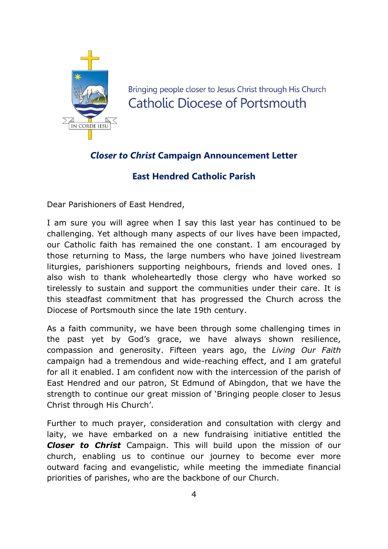

Bringing people closer to Jesus Christ through His Church **Catholic Diocese of Portsmouth** 

### *Closer to Christ* **Campaign Announcement Letter**

#### **East Hendred Catholic Parish**

Dear Parishioners of East Hendred,

I am sure you will agree when I say this last year has continued to be challenging. Yet although many aspects of our lives have been impacted, our Catholic faith has remained the one constant. I am encouraged by those returning to Mass, the large numbers who have joined livestream liturgies, parishioners supporting neighbours, friends and loved ones. I also wish to thank wholeheartedly those clergy who have worked so tirelessly to sustain and support the communities under their care. It is this steadfast commitment that has progressed the Church across the Diocese of Portsmouth since the late 19th century.

As a faith community, we have been through some challenging times in the past yet by God's grace, we have always shown resilience, compassion and generosity. Fifteen years ago, the *Living Our Faith* campaign had a tremendous and wide-reaching effect, and I am grateful for all it enabled. I am confident now with the intercession of the parish of East Hendred and our patron, St Edmund of Abingdon, that we have the strength to continue our great mission of 'Bringing people closer to Jesus Christ through His Church'.

Further to much prayer, consideration and consultation with clergy and laity, we have embarked on a new fundraising initiative entitled the *Closer to Christ* Campaign. This will build upon the mission of our church, enabling us to continue our journey to become ever more outward facing and evangelistic, while meeting the immediate financial priorities of parishes, who are the backbone of our Church.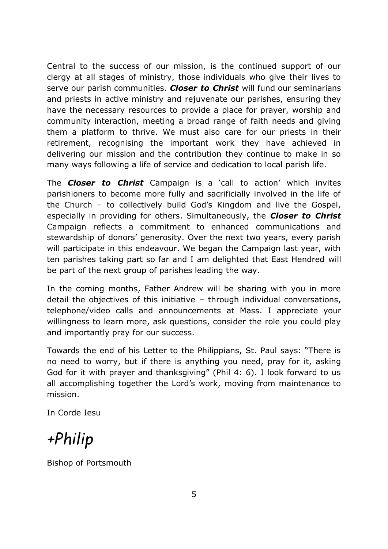Central to the success of our mission, is the continued support of our clergy at all stages of ministry, those individuals who give their lives to serve our parish communities. *Closer to Christ* will fund our seminarians and priests in active ministry and rejuvenate our parishes, ensuring they have the necessary resources to provide a place for prayer, worship and community interaction, meeting a broad range of faith needs and giving them a platform to thrive. We must also care for our priests in their retirement, recognising the important work they have achieved in delivering our mission and the contribution they continue to make in so many ways following a life of service and dedication to local parish life.

The *Closer to Christ* Campaign is a 'call to action' which invites parishioners to become more fully and sacrificially involved in the life of the Church – to collectively build God's Kingdom and live the Gospel, especially in providing for others. Simultaneously, the *Closer to Christ* Campaign reflects a commitment to enhanced communications and stewardship of donors' generosity. Over the next two years, every parish will participate in this endeavour. We began the Campaign last year, with ten parishes taking part so far and I am delighted that East Hendred will be part of the next group of parishes leading the way.

In the coming months, Father Andrew will be sharing with you in more detail the objectives of this initiative – through individual conversations, telephone/video calls and announcements at Mass. I appreciate your willingness to learn more, ask questions, consider the role you could play and importantly pray for our success.

Towards the end of his Letter to the Philippians, St. Paul says: "There is no need to worry, but if there is anything you need, pray for it, asking God for it with prayer and thanksgiving" (Phil 4: 6). I look forward to us all accomplishing together the Lord's work, moving from maintenance to mission.

In Corde Iesu

# *+Philip*

Bishop of Portsmouth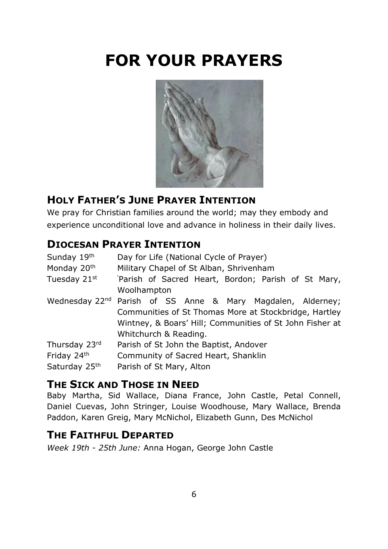# **FOR YOUR PRAYERS**



## **HOLY FATHER'S JUNE PRAYER INTENTION**

We pray for Christian families around the world; may they embody and experience unconditional love and advance in holiness in their daily lives.

### **DIOCESAN PRAYER INTENTION**

| Sunday 19th               | Day for Life (National Cycle of Prayer)                                 |  |  |  |  |  |
|---------------------------|-------------------------------------------------------------------------|--|--|--|--|--|
| Monday 20 <sup>th</sup>   | Military Chapel of St Alban, Shrivenham                                 |  |  |  |  |  |
| Tuesday 21st              | Parish of Sacred Heart, Bordon; Parish of St Mary,                      |  |  |  |  |  |
|                           | Woolhampton                                                             |  |  |  |  |  |
|                           | Wednesday 22 <sup>nd</sup> Parish of SS Anne & Mary Magdalen, Alderney; |  |  |  |  |  |
|                           | Communities of St Thomas More at Stockbridge, Hartley                   |  |  |  |  |  |
|                           | Wintney, & Boars' Hill; Communities of St John Fisher at                |  |  |  |  |  |
|                           | Whitchurch & Reading.                                                   |  |  |  |  |  |
| Thursday 23rd             | Parish of St John the Baptist, Andover                                  |  |  |  |  |  |
| Friday 24th               | Community of Sacred Heart, Shanklin                                     |  |  |  |  |  |
| Saturday 25 <sup>th</sup> | Parish of St Mary, Alton                                                |  |  |  |  |  |
|                           |                                                                         |  |  |  |  |  |

### **THE SICK AND THOSE IN NEED**

Baby Martha, Sid Wallace, Diana France, John Castle, Petal Connell, Daniel Cuevas, John Stringer, Louise Woodhouse, Mary Wallace, Brenda Paddon, Karen Greig, Mary McNichol, Elizabeth Gunn, Des McNichol

### **THE FAITHFUL DEPARTED**

*Week 19th - 25th June:* Anna Hogan, George John Castle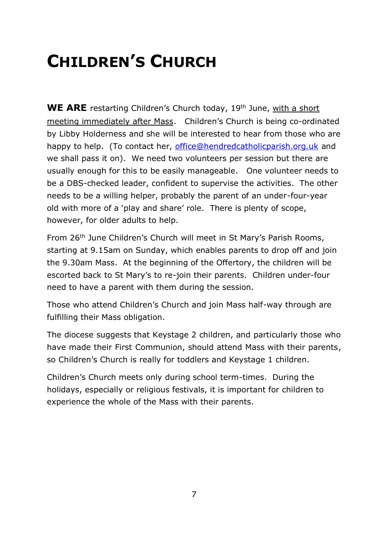# **CHILDREN'S CHURCH**

**WE ARE** restarting Children's Church today, 19<sup>th</sup> June, with a short meeting immediately after Mass. Children's Church is being co-ordinated by Libby Holderness and she will be interested to hear from those who are happy to help. (To contact her, office@hendredcatholicparish.org.uk and we shall pass it on). We need two volunteers per session but there are usually enough for this to be easily manageable. One volunteer needs to be a DBS-checked leader, confident to supervise the activities. The other needs to be a willing helper, probably the parent of an under-four-year old with more of a 'play and share' role. There is plenty of scope, however, for older adults to help.

From 26th June Children's Church will meet in St Mary's Parish Rooms, starting at 9.15am on Sunday, which enables parents to drop off and join the 9.30am Mass. At the beginning of the Offertory, the children will be escorted back to St Mary's to re-join their parents. Children under-four need to have a parent with them during the session.

Those who attend Children's Church and join Mass half-way through are fulfilling their Mass obligation.

The diocese suggests that Keystage 2 children, and particularly those who have made their First Communion, should attend Mass with their parents, so Children's Church is really for toddlers and Keystage 1 children.

Children's Church meets only during school term-times. During the holidays, especially or religious festivals, it is important for children to experience the whole of the Mass with their parents.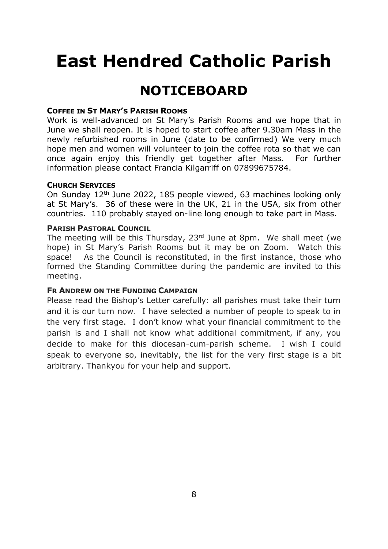# **East Hendred Catholic Parish**

# **NOTICEBOARD**

#### **COFFEE IN ST MARY'S PARISH ROOMS**

Work is well-advanced on St Mary's Parish Rooms and we hope that in June we shall reopen. It is hoped to start coffee after 9.30am Mass in the newly refurbished rooms in June (date to be confirmed) We very much hope men and women will volunteer to join the coffee rota so that we can once again enjoy this friendly get together after Mass. For further information please contact Francia Kilgarriff on 07899675784.

#### **CHURCH SERVICES**

On Sunday 12th June 2022, 185 people viewed, 63 machines looking only at St Mary's. 36 of these were in the UK, 21 in the USA, six from other countries. 110 probably stayed on-line long enough to take part in Mass.

#### **PARISH PASTORAL COUNCIL**

The meeting will be this Thursday, 23rd June at 8pm. We shall meet (we hope) in St Mary's Parish Rooms but it may be on Zoom. Watch this space! As the Council is reconstituted, in the first instance, those who formed the Standing Committee during the pandemic are invited to this meeting.

#### **FR ANDREW ON THE FUNDING CAMPAIGN**

Please read the Bishop's Letter carefully: all parishes must take their turn and it is our turn now. I have selected a number of people to speak to in the very first stage. I don't know what your financial commitment to the parish is and I shall not know what additional commitment, if any, you decide to make for this diocesan-cum-parish scheme. I wish I could speak to everyone so, inevitably, the list for the very first stage is a bit arbitrary. Thankyou for your help and support.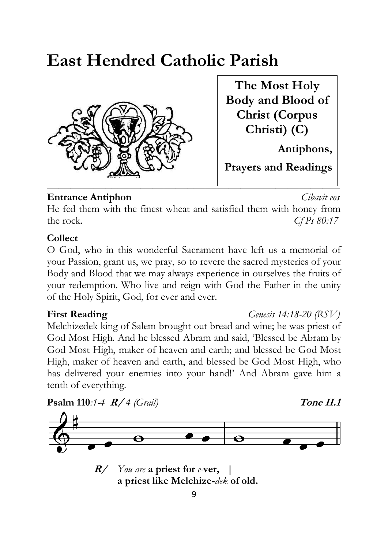# **East Hendred Catholic Parish**



**The Most Holy Body and Blood of Christ (Corpus Christi) (C) Antiphons,**

**Prayers and Readings**

#### **Entrance Antiphon** *Cibavit eos*

He fed them with the finest wheat and satisfied them with honey from the rock. *Cf Ps 80:17*

### **Collect**

O God, who in this wonderful Sacrament have left us a memorial of your Passion, grant us, we pray, so to revere the sacred mysteries of your Body and Blood that we may always experience in ourselves the fruits of your redemption. Who live and reign with God the Father in the unity of the Holy Spirit, God, for ever and ever.

**First Reading** *Genesis 14:18-20 (RSV)*

Melchizedek king of Salem brought out bread and wine; he was priest of God Most High. And he blessed Abram and said, 'Blessed be Abram by God Most High, maker of heaven and earth; and blessed be God Most High, maker of heaven and earth, and blessed be God Most High, who has delivered your enemies into your hand!' And Abram gave him a tenth of everything.



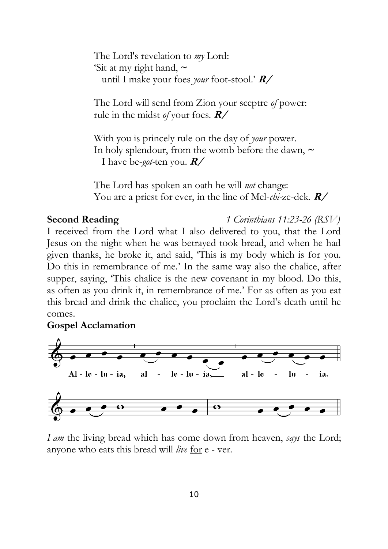The Lord's revelation to *my* Lord: 'Sit at my right hand, **~** until I make your foes *your* foot-stool.' **R/**

The Lord will send from Zion your sceptre *of* power: rule in the midst *of* your foes. **R/**

With you is princely rule on the day of *your* power. In holy splendour, from the womb before the dawn, **~** I have be-*got-*ten you. **R/**

The Lord has spoken an oath he will *not* change: You are a priest for ever, in the line of Mel-*chi-*ze-dek. **R/**

#### **Second Reading** *1 Corinthians 11:23-26 (RSV)*

I received from the Lord what I also delivered to you, that the Lord Jesus on the night when he was betrayed took bread, and when he had given thanks, he broke it, and said, 'This is my body which is for you. Do this in remembrance of me.' In the same way also the chalice, after supper, saying, 'This chalice is the new covenant in my blood. Do this, as often as you drink it, in remembrance of me.' For as often as you eat this bread and drink the chalice, you proclaim the Lord's death until he comes.

#### **Gospel Acclamation**



*I am* the living bread which has come down from heaven, *says* the Lord; anyone who eats this bread will *live* for e - ver.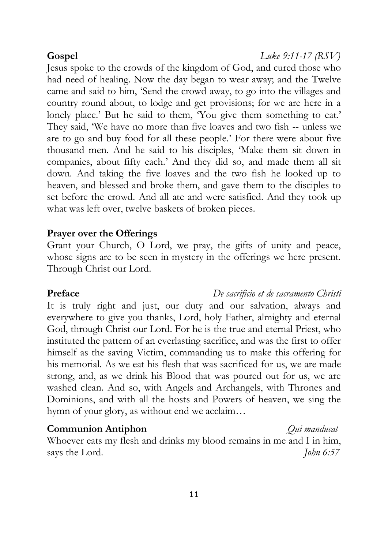#### **Gospel** *Luke 9:11-17 (RSV)*

Jesus spoke to the crowds of the kingdom of God, and cured those who had need of healing. Now the day began to wear away; and the Twelve came and said to him, 'Send the crowd away, to go into the villages and country round about, to lodge and get provisions; for we are here in a lonely place.' But he said to them, 'You give them something to eat.' They said, 'We have no more than five loaves and two fish -- unless we are to go and buy food for all these people.' For there were about five thousand men. And he said to his disciples, 'Make them sit down in companies, about fifty each.' And they did so, and made them all sit down. And taking the five loaves and the two fish he looked up to heaven, and blessed and broke them, and gave them to the disciples to set before the crowd. And all ate and were satisfied. And they took up what was left over, twelve baskets of broken pieces.

#### **Prayer over the Offerings**

Grant your Church, O Lord, we pray, the gifts of unity and peace, whose signs are to be seen in mystery in the offerings we here present. Through Christ our Lord.

**Preface** *De sacrificio et de sacramento Christi*

It is truly right and just, our duty and our salvation, always and everywhere to give you thanks, Lord, holy Father, almighty and eternal God, through Christ our Lord. For he is the true and eternal Priest, who instituted the pattern of an everlasting sacrifice, and was the first to offer himself as the saving Victim, commanding us to make this offering for his memorial. As we eat his flesh that was sacrificed for us, we are made strong, and, as we drink his Blood that was poured out for us, we are washed clean. And so, with Angels and Archangels, with Thrones and Dominions, and with all the hosts and Powers of heaven, we sing the hymn of your glory, as without end we acclaim…

#### **Communion Antiphon** *Qui manducat*

Whoever eats my flesh and drinks my blood remains in me and I in him, says the Lord. *John 6:57*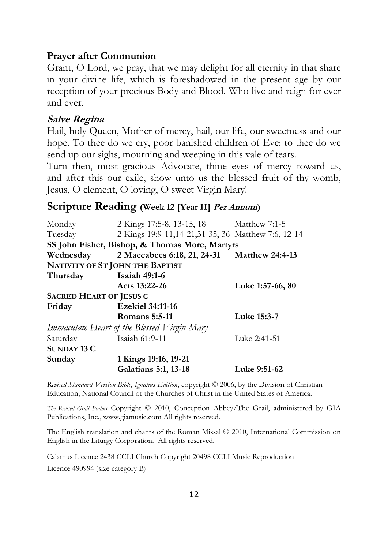#### **Prayer after Communion**

Grant, O Lord, we pray, that we may delight for all eternity in that share in your divine life, which is foreshadowed in the present age by our reception of your precious Body and Blood. Who live and reign for ever and ever.

#### **Salve Regina**

Hail, holy Queen, Mother of mercy, hail, our life, our sweetness and our hope. To thee do we cry, poor banished children of Eve: to thee do we send up our sighs, mourning and weeping in this vale of tears.

Turn then, most gracious Advocate, thine eyes of mercy toward us, and after this our exile, show unto us the blessed fruit of thy womb, Jesus, O clement, O loving, O sweet Virgin Mary! 

## **Scripture Reading (Week 12 [Year II] Per Annum)**

| Monday                         | 2 Kings 17:5-8, 13-15, 18 Matthew 7:1-5              |                  |
|--------------------------------|------------------------------------------------------|------------------|
| Tuesday                        | 2 Kings 19:9-11, 14-21, 31-35, 36 Matthew 7:6, 12-14 |                  |
|                                | SS John Fisher, Bishop, & Thomas More, Martyrs       |                  |
| Wednesday                      | 2 Maccabees 6:18, 21, 24-31 Matthew 24:4-13          |                  |
|                                | NATIVITY OF ST JOHN THE BAPTIST                      |                  |
| Thursday                       | <b>Isaiah 49:1-6</b>                                 |                  |
|                                | Acts 13:22-26                                        | Luke 1:57-66, 80 |
| <b>SACRED HEART OF JESUS C</b> |                                                      |                  |
| Friday                         | <b>Ezekiel 34:11-16</b>                              |                  |
|                                | <b>Romans</b> 5:5-11                                 | Luke 15:3-7      |
|                                | Immaculate Heart of the Blessed Virgin Mary          |                  |
| Saturday                       | Isaiah 61:9-11                                       | Luke 2:41-51     |
| <b>SUNDAY 13 C</b>             |                                                      |                  |
| Sunday                         | 1 Kings 19:16, 19-21                                 |                  |
|                                | <b>Galatians 5:1, 13-18</b>                          | Luke 9:51-62     |

*Revised Standard Version Bible, Ignatius Edition*, copyright © 2006, by the Division of Christian Education, National Council of the Churches of Christ in the United States of America.

*The Revised Grail Psalms* Copyright © 2010, Conception Abbey/The Grail, administered by GIA Publications, Inc., www.giamusic.com All rights reserved.

The English translation and chants of the Roman Missal © 2010, International Commission on English in the Liturgy Corporation. All rights reserved.

Calamus Licence 2438 CCLI Church Copyright 20498 CCLI Music Reproduction

Licence 490994 (size category B)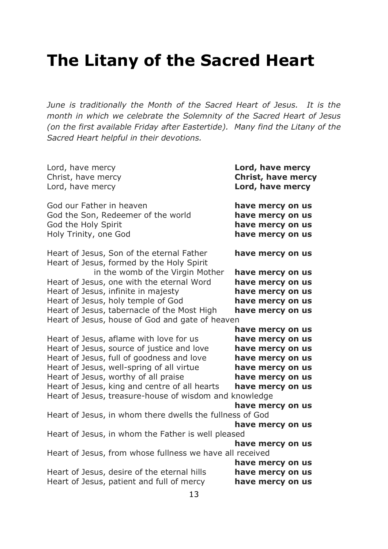# **The Litany of the Sacred Heart**

*June is traditionally the Month of the Sacred Heart of Jesus. It is the month in which we celebrate the Solemnity of the Sacred Heart of Jesus (on the first available Friday after Eastertide). Many find the Litany of the Sacred Heart helpful in their devotions.* 

| Lord, have mercy<br>Christ, have mercy<br>Lord, have mercy                                                     | Lord, have mercy<br><b>Christ, have mercy</b><br>Lord, have mercy            |
|----------------------------------------------------------------------------------------------------------------|------------------------------------------------------------------------------|
| God our Father in heaven<br>God the Son, Redeemer of the world<br>God the Holy Spirit<br>Holy Trinity, one God | have mercy on us<br>have mercy on us<br>have mercy on us<br>have mercy on us |
| Heart of Jesus, Son of the eternal Father<br>Heart of Jesus, formed by the Holy Spirit                         | have mercy on us                                                             |
| in the womb of the Virgin Mother                                                                               | have mercy on us                                                             |
| Heart of Jesus, one with the eternal Word                                                                      | have mercy on us                                                             |
| Heart of Jesus, infinite in majesty                                                                            | have mercy on us                                                             |
| Heart of Jesus, holy temple of God<br>Heart of Jesus, tabernacle of the Most High                              | have mercy on us<br>have mercy on us                                         |
| Heart of Jesus, house of God and gate of heaven                                                                |                                                                              |
|                                                                                                                | have mercy on us                                                             |
| Heart of Jesus, aflame with love for us                                                                        | have mercy on us                                                             |
| Heart of Jesus, source of justice and love                                                                     | have mercy on us                                                             |
| Heart of Jesus, full of goodness and love                                                                      | have mercy on us                                                             |
| Heart of Jesus, well-spring of all virtue                                                                      | have mercy on us                                                             |
| Heart of Jesus, worthy of all praise                                                                           | have mercy on us                                                             |
| Heart of Jesus, king and centre of all hearts                                                                  | have mercy on us                                                             |
| Heart of Jesus, treasure-house of wisdom and knowledge                                                         |                                                                              |
|                                                                                                                | have mercy on us                                                             |
| Heart of Jesus, in whom there dwells the fullness of God                                                       |                                                                              |
| Heart of Jesus, in whom the Father is well pleased                                                             | have mercy on us                                                             |
|                                                                                                                | have mercy on us                                                             |
| Heart of Jesus, from whose fullness we have all received                                                       |                                                                              |
|                                                                                                                | have mercy on us                                                             |
| Heart of Jesus, desire of the eternal hills                                                                    | have mercy on us                                                             |
| Heart of Jesus, patient and full of mercy                                                                      | have mercy on us                                                             |
|                                                                                                                |                                                                              |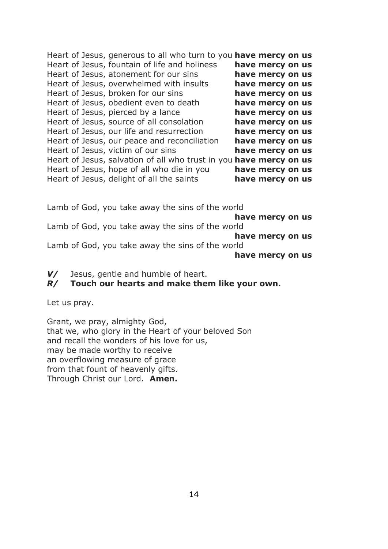| Heart of Jesus, generous to all who turn to you have mercy on us   |                  |  |
|--------------------------------------------------------------------|------------------|--|
| Heart of Jesus, fountain of life and holiness                      | have mercy on us |  |
| Heart of Jesus, atonement for our sins                             | have mercy on us |  |
| Heart of Jesus, overwhelmed with insults                           | have mercy on us |  |
| Heart of Jesus, broken for our sins                                | have mercy on us |  |
| Heart of Jesus, obedient even to death                             | have mercy on us |  |
| Heart of Jesus, pierced by a lance                                 | have mercy on us |  |
| Heart of Jesus, source of all consolation                          | have mercy on us |  |
| Heart of Jesus, our life and resurrection                          | have mercy on us |  |
| Heart of Jesus, our peace and reconciliation                       | have mercy on us |  |
| Heart of Jesus, victim of our sins                                 | have mercy on us |  |
| Heart of Jesus, salvation of all who trust in you have mercy on us |                  |  |
| Heart of Jesus, hope of all who die in you                         | have mercy on us |  |
| Heart of Jesus, delight of all the saints                          | have mercy on us |  |

Lamb of God, you take away the sins of the world

**have mercy on us**

Lamb of God, you take away the sins of the world **have mercy on us** Lamb of God, you take away the sins of the world **have mercy on us**

*V/* Jesus, gentle and humble of heart.

#### *R/* **Touch our hearts and make them like your own.**

Let us pray.

Grant, we pray, almighty God, that we, who glory in the Heart of your beloved Son and recall the wonders of his love for us, may be made worthy to receive an overflowing measure of grace from that fount of heavenly gifts. Through Christ our Lord. **Amen.**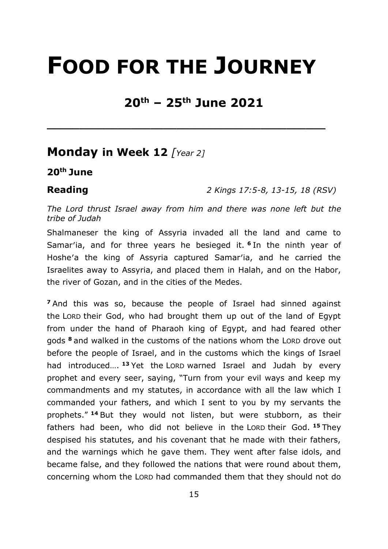# **FOOD FOR THE JOURNEY**

## **20th – 25th June 2021**

**\_\_\_\_\_\_\_\_\_\_\_\_\_\_\_\_\_\_\_\_\_\_\_\_\_\_\_\_\_\_\_\_\_\_\_\_\_\_\_\_\_\_\_** 

## **Monday in Week 12** *[Year 2]*

#### **20 th June**

**Reading** *2 Kings 17:5-8, 13-15, 18 (RSV)*

*The Lord thrust Israel away from him and there was none left but the tribe of Judah*

Shalmaneser the king of Assyria invaded all the land and came to Samar′ia, and for three years he besieged it. **<sup>6</sup>** In the ninth year of Hoshe′a the king of Assyria captured Samar′ia, and he carried the Israelites away to Assyria, and placed them in Halah, and on the Habor, the river of Gozan, and in the cities of the Medes.

**<sup>7</sup>** And this was so, because the people of Israel had sinned against the LORD their God, who had brought them up out of the land of Egypt from under the hand of Pharaoh king of Egypt, and had feared other gods **<sup>8</sup>** and walked in the customs of the nations whom the LORD drove out before the people of Israel, and in the customs which the kings of Israel had introduced…. **<sup>13</sup>** Yet the LORD warned Israel and Judah by every prophet and every seer, saying, "Turn from your evil ways and keep my commandments and my statutes, in accordance with all the law which I commanded your fathers, and which I sent to you by my servants the prophets." **<sup>14</sup>** But they would not listen, but were stubborn, as their fathers had been, who did not believe in the LORD their God. **<sup>15</sup>** They despised his statutes, and his covenant that he made with their fathers, and the warnings which he gave them. They went after false idols, and became false, and they followed the nations that were round about them, concerning whom the LORD had commanded them that they should not do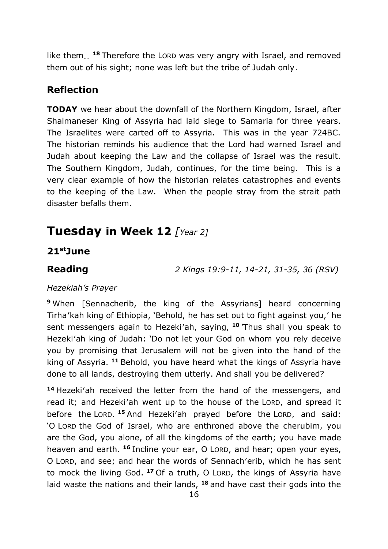like them…. **<sup>18</sup>** Therefore the LORD was very angry with Israel, and removed them out of his sight; none was left but the tribe of Judah only.

### **Reflection**

**TODAY** we hear about the downfall of the Northern Kingdom, Israel, after Shalmaneser King of Assyria had laid siege to Samaria for three years. The Israelites were carted off to Assyria. This was in the year 724BC. The historian reminds his audience that the Lord had warned Israel and Judah about keeping the Law and the collapse of Israel was the result. The Southern Kingdom, Judah, continues, for the time being. This is a very clear example of how the historian relates catastrophes and events to the keeping of the Law. When the people stray from the strait path disaster befalls them.

## **Tuesday in Week 12** *[Year 2]*

### **21 stJune**

**Reading** *2 Kings 19:9-11, 14-21, 31-35, 36 (RSV)*

### *Hezekiah's Prayer*

**<sup>9</sup>** When [Sennacherib, the king of the Assyrians] heard concerning Tirha′kah king of Ethiopia, 'Behold, he has set out to fight against you,' he sent messengers again to Hezeki′ah, saying, **<sup>10</sup>** 'Thus shall you speak to Hezeki′ah king of Judah: 'Do not let your God on whom you rely deceive you by promising that Jerusalem will not be given into the hand of the king of Assyria. **<sup>11</sup>** Behold, you have heard what the kings of Assyria have done to all lands, destroying them utterly. And shall you be delivered?

**<sup>14</sup>** Hezeki′ah received the letter from the hand of the messengers, and read it; and Hezeki′ah went up to the house of the LORD, and spread it before the LORD. **<sup>15</sup>** And Hezeki′ah prayed before the LORD, and said: 'O LORD the God of Israel, who are enthroned above the cherubim, you are the God, you alone, of all the kingdoms of the earth; you have made heaven and earth. **<sup>16</sup>** Incline your ear, O LORD, and hear; open your eyes, O LORD, and see; and hear the words of Sennach′erib, which he has sent to mock the living God. **<sup>17</sup>** Of a truth, O LORD, the kings of Assyria have laid waste the nations and their lands, **<sup>18</sup>** and have cast their gods into the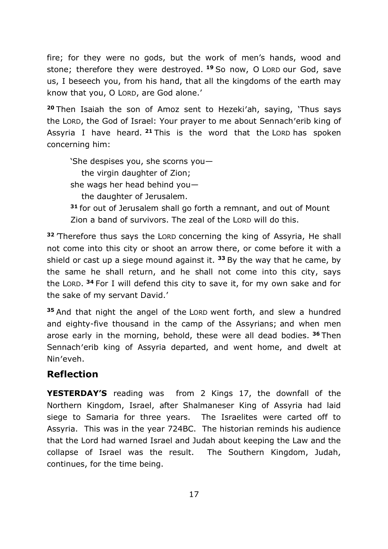fire; for they were no gods, but the work of men's hands, wood and stone; therefore they were destroyed. **<sup>19</sup>** So now, O LORD our God, save us, I beseech you, from his hand, that all the kingdoms of the earth may know that you, O LORD, are God alone.'

**<sup>20</sup>** Then Isaiah the son of Amoz sent to Hezeki′ah, saying, 'Thus says the LORD, the God of Israel: Your prayer to me about Sennach′erib king of Assyria I have heard. **<sup>21</sup>** This is the word that the LORD has spoken concerning him:

'She despises you, she scorns you the virgin daughter of Zion; she wags her head behind you the daughter of Jerusalem. **<sup>31</sup>** for out of Jerusalem shall go forth a remnant, and out of Mount Zion a band of survivors. The zeal of the LORD will do this.

**<sup>32</sup>** 'Therefore thus says the LORD concerning the king of Assyria, He shall not come into this city or shoot an arrow there, or come before it with a shield or cast up a siege mound against it. **<sup>33</sup>** By the way that he came, by the same he shall return, and he shall not come into this city, says the LORD. **<sup>34</sup>** For I will defend this city to save it, for my own sake and for the sake of my servant David.'

**<sup>35</sup>** And that night the angel of the LORD went forth, and slew a hundred and eighty-five thousand in the camp of the Assyrians; and when men arose early in the morning, behold, these were all dead bodies. **<sup>36</sup>** Then Sennach′erib king of Assyria departed, and went home, and dwelt at Nin′eveh.

### **Reflection**

**YESTERDAY'S** reading was from 2 Kings 17, the downfall of the Northern Kingdom, Israel, after Shalmaneser King of Assyria had laid siege to Samaria for three years. The Israelites were carted off to Assyria. This was in the year 724BC. The historian reminds his audience that the Lord had warned Israel and Judah about keeping the Law and the collapse of Israel was the result. The Southern Kingdom, Judah, continues, for the time being.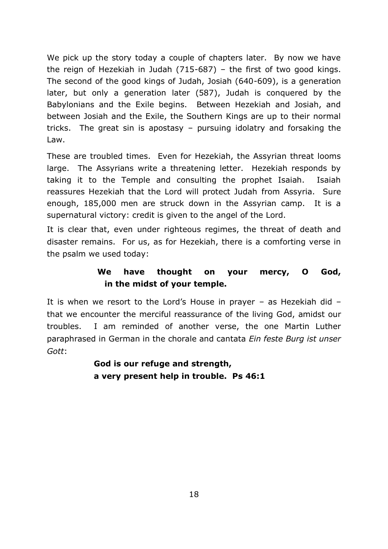We pick up the story today a couple of chapters later. By now we have the reign of Hezekiah in Judah (715-687) – the first of two good kings. The second of the good kings of Judah, Josiah (640-609), is a generation later, but only a generation later (587), Judah is conquered by the Babylonians and the Exile begins. Between Hezekiah and Josiah, and between Josiah and the Exile, the Southern Kings are up to their normal tricks. The great sin is apostasy – pursuing idolatry and forsaking the Law.

These are troubled times. Even for Hezekiah, the Assyrian threat looms large. The Assyrians write a threatening letter. Hezekiah responds by taking it to the Temple and consulting the prophet Isaiah. Isaiah reassures Hezekiah that the Lord will protect Judah from Assyria. Sure enough, 185,000 men are struck down in the Assyrian camp. It is a supernatural victory: credit is given to the angel of the Lord.

It is clear that, even under righteous regimes, the threat of death and disaster remains. For us, as for Hezekiah, there is a comforting verse in the psalm we used today:

#### **We have thought on your mercy, O God, in the midst of your temple.**

It is when we resort to the Lord's House in prayer – as Hezekiah did – that we encounter the merciful reassurance of the living God, amidst our troubles. I am reminded of another verse, the one Martin Luther paraphrased in German in the chorale and cantata *Ein feste Burg ist unser Gott*:

> **God is our refuge and strength, a very present help in trouble. Ps 46:1**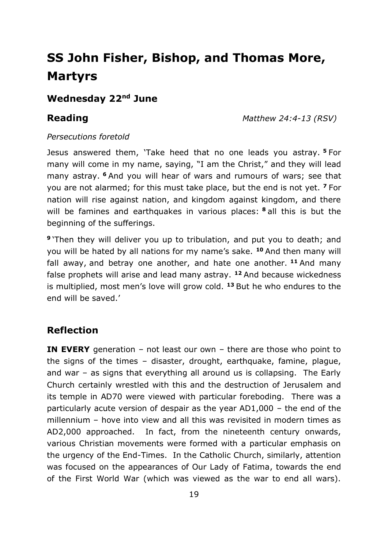# **SS John Fisher, Bishop, and Thomas More, Martyrs**

#### **Wednesday 22nd June**

**Reading** *Matthew 24:4-13 (RSV)*

#### *Persecutions foretold*

Jesus answered them, 'Take heed that no one leads you astray. **<sup>5</sup>** For many will come in my name, saying, "I am the Christ," and they will lead many astray. **<sup>6</sup>** And you will hear of wars and rumours of wars; see that you are not alarmed; for this must take place, but the end is not yet. **<sup>7</sup>** For nation will rise against nation, and kingdom against kingdom, and there will be famines and earthquakes in various places: **<sup>8</sup>** all this is but the beginning of the sufferings.

**<sup>9</sup>** 'Then they will deliver you up to tribulation, and put you to death; and you will be hated by all nations for my name's sake. **<sup>10</sup>** And then many will fall away, and betray one another, and hate one another. **<sup>11</sup>** And many false prophets will arise and lead many astray. **<sup>12</sup>** And because wickedness is multiplied, most men's love will grow cold. **<sup>13</sup>** But he who endures to the end will be saved.'

#### **Reflection**

**IN EVERY** generation – not least our own – there are those who point to the signs of the times – disaster, drought, earthquake, famine, plague, and war – as signs that everything all around us is collapsing. The Early Church certainly wrestled with this and the destruction of Jerusalem and its temple in AD70 were viewed with particular foreboding. There was a particularly acute version of despair as the year AD1,000 – the end of the millennium – hove into view and all this was revisited in modern times as AD2,000 approached. In fact, from the nineteenth century onwards, various Christian movements were formed with a particular emphasis on the urgency of the End-Times. In the Catholic Church, similarly, attention was focused on the appearances of Our Lady of Fatima, towards the end of the First World War (which was viewed as the war to end all wars).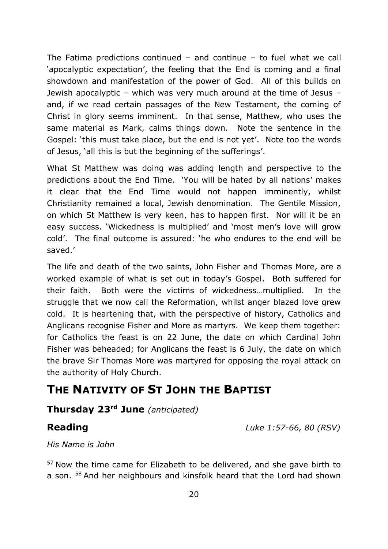The Fatima predictions continued  $-$  and continue  $-$  to fuel what we call 'apocalyptic expectation', the feeling that the End is coming and a final showdown and manifestation of the power of God. All of this builds on Jewish apocalyptic – which was very much around at the time of Jesus – and, if we read certain passages of the New Testament, the coming of Christ in glory seems imminent. In that sense, Matthew, who uses the same material as Mark, calms things down. Note the sentence in the Gospel: 'this must take place, but the end is not yet'. Note too the words of Jesus, 'all this is but the beginning of the sufferings'.

What St Matthew was doing was adding length and perspective to the predictions about the End Time. 'You will be hated by all nations' makes it clear that the End Time would not happen imminently, whilst Christianity remained a local, Jewish denomination. The Gentile Mission, on which St Matthew is very keen, has to happen first. Nor will it be an easy success. 'Wickedness is multiplied' and 'most men's love will grow cold'. The final outcome is assured: 'he who endures to the end will be saved.'

The life and death of the two saints, John Fisher and Thomas More, are a worked example of what is set out in today's Gospel. Both suffered for their faith. Both were the victims of wickedness…multiplied. In the struggle that we now call the Reformation, whilst anger blazed love grew cold. It is heartening that, with the perspective of history, Catholics and Anglicans recognise Fisher and More as martyrs. We keep them together: for Catholics the feast is on 22 June, the date on which Cardinal John Fisher was beheaded; for Anglicans the feast is 6 July, the date on which the brave Sir Thomas More was martyred for opposing the royal attack on the authority of Holy Church.

## **THE NATIVITY OF ST JOHN THE BAPTIST**

#### **Thursday 23 rd June** *(anticipated)*

**Reading** *Luke 1:57-66, 80 (RSV)*

*His Name is John*

<sup>57</sup> Now the time came for Elizabeth to be delivered, and she gave birth to a son. <sup>58</sup> And her neighbours and kinsfolk heard that the Lord had shown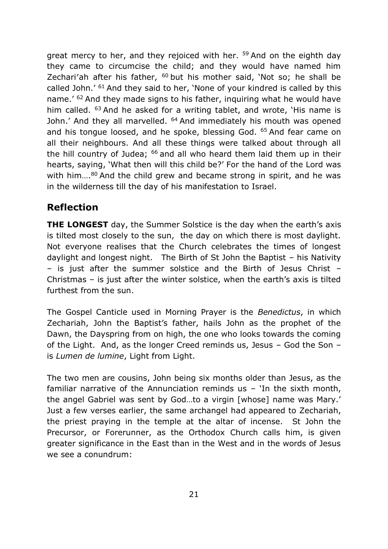great mercy to her, and they rejoiced with her. <sup>59</sup> And on the eighth day they came to circumcise the child; and they would have named him Zechari'ah after his father, <sup>60</sup> but his mother said, 'Not so; he shall be called John.' <sup>61</sup> And they said to her, 'None of your kindred is called by this name.' <sup>62</sup> And they made signs to his father, inquiring what he would have him called. <sup>63</sup> And he asked for a writing tablet, and wrote, 'His name is John.' And they all marvelled. <sup>64</sup> And immediately his mouth was opened and his tongue loosed, and he spoke, blessing God. <sup>65</sup> And fear came on all their neighbours. And all these things were talked about through all the hill country of Judea; <sup>66</sup> and all who heard them laid them up in their hearts, saying, 'What then will this child be?' For the hand of the Lord was with him....<sup>80</sup> And the child grew and became strong in spirit, and he was in the wilderness till the day of his manifestation to Israel.

### **Reflection**

**THE LONGEST** day, the Summer Solstice is the day when the earth's axis is tilted most closely to the sun, the day on which there is most daylight. Not everyone realises that the Church celebrates the times of longest daylight and longest night. The Birth of St John the Baptist – his Nativity – is just after the summer solstice and the Birth of Jesus Christ – Christmas – is just after the winter solstice, when the earth's axis is tilted furthest from the sun.

The Gospel Canticle used in Morning Prayer is the *Benedictus*, in which Zechariah, John the Baptist's father, hails John as the prophet of the Dawn, the Dayspring from on high, the one who looks towards the coming of the Light. And, as the longer Creed reminds us, Jesus – God the Son – is *Lumen de lumine*, Light from Light.

The two men are cousins, John being six months older than Jesus, as the familiar narrative of the Annunciation reminds us – 'In the sixth month, the angel Gabriel was sent by God…to a virgin [whose] name was Mary.' Just a few verses earlier, the same archangel had appeared to Zechariah, the priest praying in the temple at the altar of incense. St John the Precursor, or Forerunner, as the Orthodox Church calls him, is given greater significance in the East than in the West and in the words of Jesus we see a conundrum: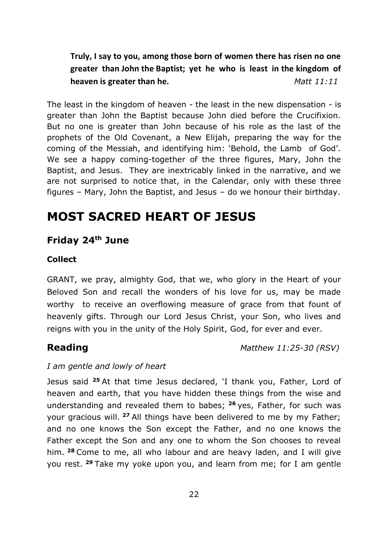**Truly, I say to you, among those born of women there has risen no one greater than John the Baptist; yet he who is least in the kingdom of heaven is greater than he.** *Matt 11:11*

The least in the kingdom of heaven - the least in the new dispensation - is greater than John the Baptist because John died before the Crucifixion. But no one is greater than John because of his role as the last of the prophets of the Old Covenant, a New Elijah, preparing the way for the coming of the Messiah, and identifying him: 'Behold, the Lamb of God'. We see a happy coming-together of the three figures, Mary, John the Baptist, and Jesus. They are inextricably linked in the narrative, and we are not surprised to notice that, in the Calendar, only with these three figures – Mary, John the Baptist, and Jesus – do we honour their birthday.

## **MOST SACRED HEART OF JESUS**

#### **Friday 24th June**

#### **Collect**

GRANT, we pray, almighty God, that we, who glory in the Heart of your Beloved Son and recall the wonders of his love for us, may be made worthy to receive an overflowing measure of grace from that fount of heavenly gifts. Through our Lord Jesus Christ, your Son, who lives and reigns with you in the unity of the Holy Spirit, God, for ever and ever.

**Reading** *Matthew 11:25-30 (RSV)*

#### *I am gentle and lowly of heart*

Jesus said **<sup>25</sup>** At that time Jesus declared, 'I thank you, Father, Lord of heaven and earth, that you have hidden these things from the wise and understanding and revealed them to babes; **<sup>26</sup>** yes, Father, for such was your gracious will. **<sup>27</sup>** All things have been delivered to me by my Father; and no one knows the Son except the Father, and no one knows the Father except the Son and any one to whom the Son chooses to reveal him. **<sup>28</sup>** Come to me, all who labour and are heavy laden, and I will give you rest. **<sup>29</sup>** Take my yoke upon you, and learn from me; for I am gentle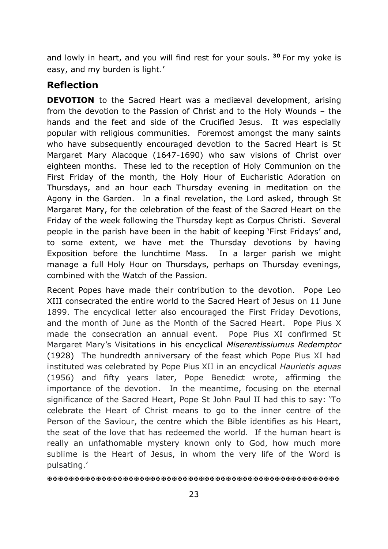and lowly in heart, and you will find rest for your souls. **<sup>30</sup>** For my yoke is easy, and my burden is light.'

#### **Reflection**

**DEVOTION** to the Sacred Heart was a mediæval development, arising from the devotion to the Passion of Christ and to the Holy Wounds – the hands and the feet and side of the Crucified Jesus. It was especially popular with religious communities. Foremost amongst the many saints who have subsequently encouraged devotion to the Sacred Heart is St Margaret Mary Alacoque (1647-1690) who saw visions of Christ over eighteen months. These led to the reception of Holy Communion on the First Friday of the month, the Holy Hour of Eucharistic Adoration on Thursdays, and an hour each Thursday evening in meditation on the Agony in the Garden. In a final revelation, the Lord asked, through St Margaret Mary, for the celebration of the feast of the Sacred Heart on the Friday of the week following the Thursday kept as Corpus Christi. Several people in the parish have been in the habit of keeping 'First Fridays' and, to some extent, we have met the Thursday devotions by having Exposition before the lunchtime Mass. In a larger parish we might manage a full Holy Hour on Thursdays, perhaps on Thursday evenings, combined with the Watch of the Passion.

Recent Popes have made their contribution to the devotion. Pope Leo XIII consecrated the entire world to the Sacred Heart of Jesus on 11 June 1899. The encyclical letter also encouraged the First Friday Devotions, and the month of June as the Month of the Sacred Heart. Pope Pius X made the consecration an annual event. Pope Pius XI confirmed St Margaret Mary's Visitations in his encyclical *Miserentissiumus Redemptor* (1928) The hundredth anniversary of the feast which Pope Pius XI had instituted was celebrated by Pope Pius XII in an encyclical *Haurietis aquas* (1956) and fifty years later, Pope Benedict wrote, affirming the importance of the devotion. In the meantime, focusing on the eternal significance of the Sacred Heart, Pope St John Paul II had this to say: 'To celebrate the Heart of Christ means to go to the inner centre of the Person of the Saviour, the centre which the Bible identifies as his Heart, the seat of the love that has redeemed the world. If the human heart is really an unfathomable mystery known only to God, how much more sublime is the Heart of Jesus, in whom the very life of the Word is pulsating.'